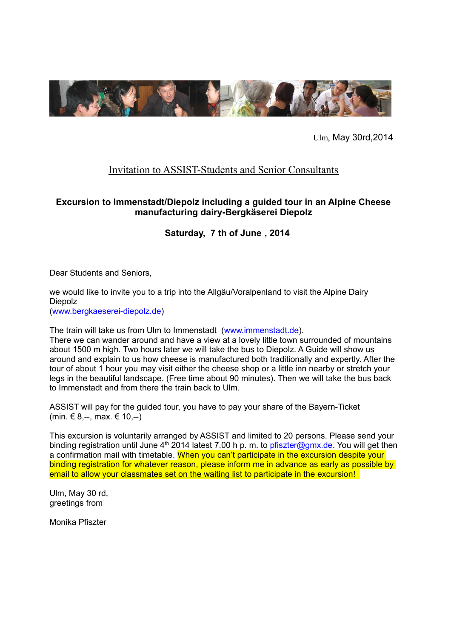

Ulm, May 30rd,2014

## Invitation to ASSIST-Students and Senior Consultants

## **Excursion to Immenstadt/Diepolz including a guided tour in an Alpine Cheese manufacturing dairy-Bergkäserei Diepolz**

## **Saturday, 7 th of June , 2014**

Dear Students and Seniors,

we would like to invite you to a trip into the Allgäu/Voralpenland to visit the Alpine Dairy Diepolz

[\(www.bergkaeserei-diepolz.de\)](http://www.bergkaeserei-diepolz.de/)

The train will take us from Ulm to Immenstadt [\(www.immenstadt.de\)](http://www.immenstadt.de/).

There we can wander around and have a view at a lovely little town surrounded of mountains about 1500 m high. Two hours later we will take the bus to Diepolz. A Guide will show us around and explain to us how cheese is manufactured both traditionally and expertly. After the tour of about 1 hour you may visit either the cheese shop or a little inn nearby or stretch your legs in the beautiful landscape. (Free time about 90 minutes). Then we will take the bus back to Immenstadt and from there the train back to Ulm.

ASSIST will pay for the guided tour, you have to pay your share of the Bayern-Ticket (min.  $€ 8$ .--, max.  $€ 10$ .--)

This excursion is voluntarily arranged by ASSIST and limited to 20 persons. Please send your binding registration until June  $4<sup>th</sup>$  2014 latest 7.00 h p. m. to [pfiszter@gmx.de.](mailto:pfiszter@gmx.de) You will get then a confirmation mail with timetable. When you can't participate in the excursion despite your binding registration for whatever reason, please inform me in advance as early as possible by email to allow your classmates set on the waiting list to participate in the excursion!

Ulm, May 30 rd, greetings from

Monika Pfiszter